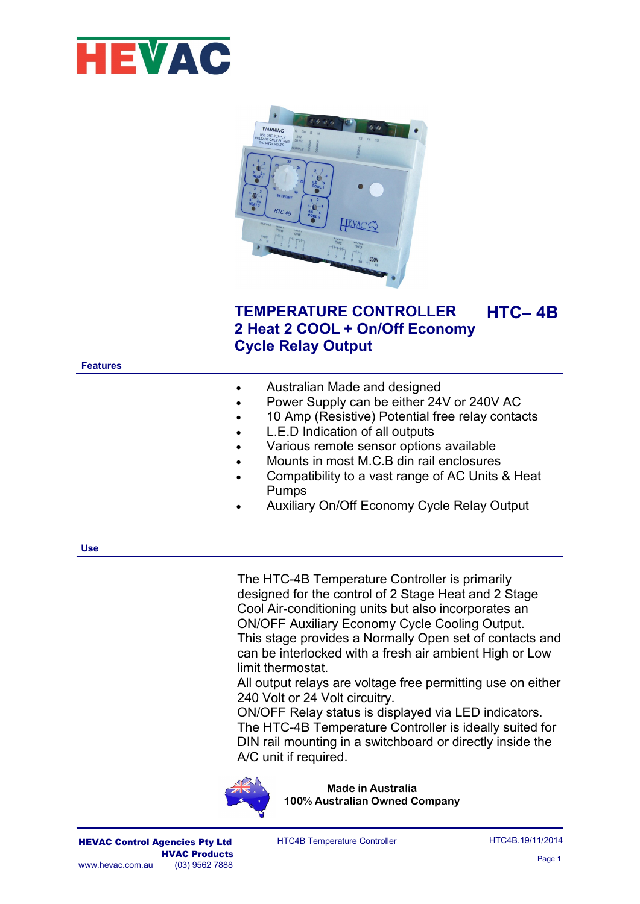



# **TEMPERATURE CONTROLLER 2 Heat 2 COOL + On/Off Economy Cycle Relay Output HTC– 4B**

**Features**

|  | Australian Made and designed |
|--|------------------------------|
|--|------------------------------|

- Power Supply can be either 24V or 240V AC
- 10 Amp (Resistive) Potential free relay contacts
- L.E.D Indication of all outputs
- Various remote sensor options available
- Mounts in most M.C.B din rail enclosures
- Compatibility to a vast range of AC Units & Heat Pumps
- Auxiliary On/Off Economy Cycle Relay Output

**Use**

The HTC-4B Temperature Controller is primarily designed for the control of 2 Stage Heat and 2 Stage Cool Air-conditioning units but also incorporates an ON/OFF Auxiliary Economy Cycle Cooling Output. This stage provides a Normally Open set of contacts and can be interlocked with a fresh air ambient High or Low limit thermostat.

All output relays are voltage free permitting use on either 240 Volt or 24 Volt circuitry.

ON/OFF Relay status is displayed via LED indicators. The HTC-4B Temperature Controller is ideally suited for DIN rail mounting in a switchboard or directly inside the A/C unit if required.



**Made in Australia 100% Australian Owned Company**

HEVAC Control Agencies Pty Ltd HTC4B Temperature Controller HTC4B.19/11/2014 HTC4B Temperature Controller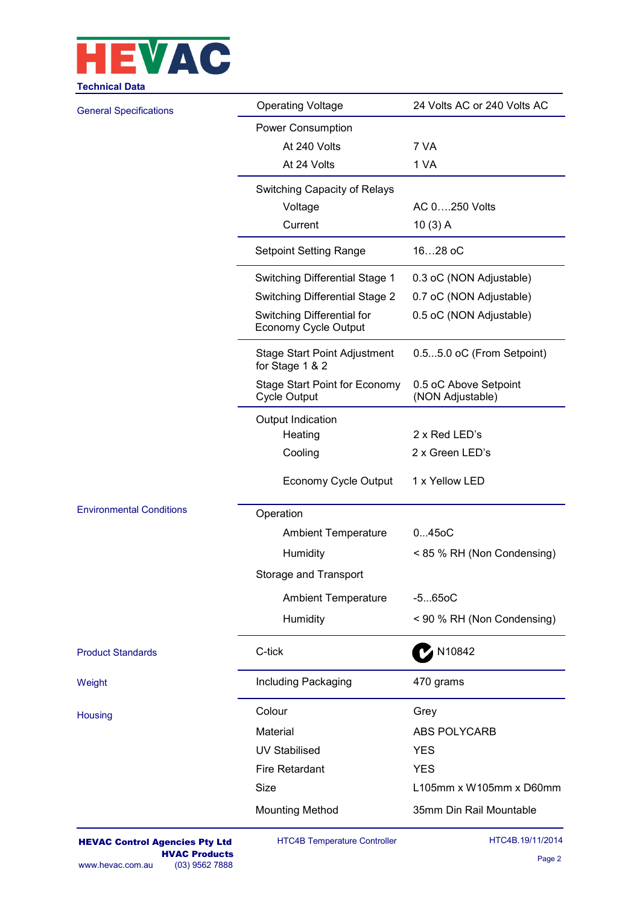

| <b>Technical Data</b>           |                                                             |                                           |  |  |  |  |  |  |
|---------------------------------|-------------------------------------------------------------|-------------------------------------------|--|--|--|--|--|--|
| <b>General Specifications</b>   | <b>Operating Voltage</b>                                    | 24 Volts AC or 240 Volts AC               |  |  |  |  |  |  |
|                                 | Power Consumption                                           |                                           |  |  |  |  |  |  |
|                                 | At 240 Volts                                                | 7 VA                                      |  |  |  |  |  |  |
|                                 | At 24 Volts                                                 | 1 VA                                      |  |  |  |  |  |  |
|                                 | Switching Capacity of Relays                                |                                           |  |  |  |  |  |  |
|                                 | Voltage                                                     | AC 0250 Volts                             |  |  |  |  |  |  |
|                                 | Current                                                     | $10(3)$ A                                 |  |  |  |  |  |  |
|                                 | <b>Setpoint Setting Range</b>                               | 1628 oC                                   |  |  |  |  |  |  |
|                                 | Switching Differential Stage 1                              | 0.3 oC (NON Adjustable)                   |  |  |  |  |  |  |
|                                 | <b>Switching Differential Stage 2</b>                       | 0.7 oC (NON Adjustable)                   |  |  |  |  |  |  |
|                                 | Switching Differential for<br>Economy Cycle Output          | 0.5 oC (NON Adjustable)                   |  |  |  |  |  |  |
|                                 | <b>Stage Start Point Adjustment</b><br>for Stage 1 & 2      | 0.55.0 oC (From Setpoint)                 |  |  |  |  |  |  |
|                                 | <b>Stage Start Point for Economy</b><br><b>Cycle Output</b> | 0.5 oC Above Setpoint<br>(NON Adjustable) |  |  |  |  |  |  |
|                                 | Output Indication                                           |                                           |  |  |  |  |  |  |
|                                 | Heating                                                     | 2 x Red LED's                             |  |  |  |  |  |  |
|                                 | Cooling                                                     | 2 x Green LED's                           |  |  |  |  |  |  |
|                                 | Economy Cycle Output                                        | 1 x Yellow LED                            |  |  |  |  |  |  |
| <b>Environmental Conditions</b> | Operation                                                   |                                           |  |  |  |  |  |  |
|                                 | <b>Ambient Temperature</b>                                  | $045$ o $C$                               |  |  |  |  |  |  |
|                                 | Humidity                                                    | < 85 % RH (Non Condensing)                |  |  |  |  |  |  |
|                                 | Storage and Transport                                       |                                           |  |  |  |  |  |  |
|                                 | <b>Ambient Temperature</b>                                  | $-5650C$                                  |  |  |  |  |  |  |
|                                 | Humidity                                                    | < 90 % RH (Non Condensing)                |  |  |  |  |  |  |
| <b>Product Standards</b>        | C-tick                                                      | N10842                                    |  |  |  |  |  |  |
| Weight                          | Including Packaging                                         | 470 grams                                 |  |  |  |  |  |  |
| Housing                         | Colour                                                      | Grey                                      |  |  |  |  |  |  |
|                                 | Material                                                    | <b>ABS POLYCARB</b>                       |  |  |  |  |  |  |
|                                 | <b>UV Stabilised</b>                                        | <b>YES</b>                                |  |  |  |  |  |  |
|                                 | <b>Fire Retardant</b>                                       | <b>YES</b>                                |  |  |  |  |  |  |
|                                 | Size                                                        | L105mm x W105mm x D60mm                   |  |  |  |  |  |  |
|                                 | <b>Mounting Method</b>                                      | 35mm Din Rail Mountable                   |  |  |  |  |  |  |
|                                 |                                                             |                                           |  |  |  |  |  |  |

HTC4B Temperature Controller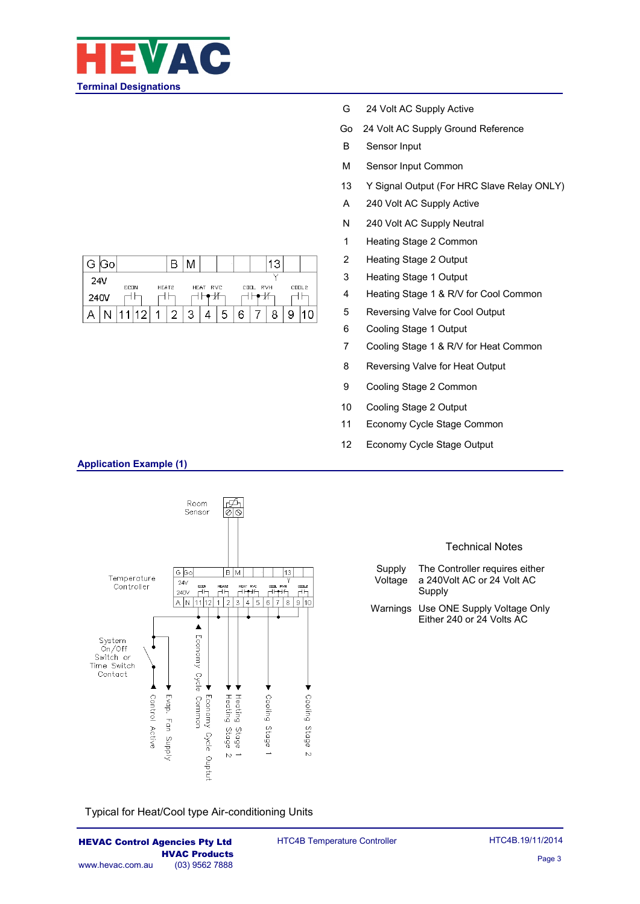

| G.              | ۱Go |             |   |       |   |          |   |          |       |  |
|-----------------|-----|-------------|---|-------|---|----------|---|----------|-------|--|
| 24 <sub>V</sub> |     | <b>ECDN</b> |   | HEAT2 |   | HEAT RVC |   | COOL RVH | CODL2 |  |
| 240V            |     |             |   |       |   |          |   |          |       |  |
|                 |     |             | റ | 4     | ο |          | 5 |          |       |  |

- G 24 Volt AC Supply Active
- Go 24 Volt AC Supply Ground Reference
- B Sensor Input
- M Sensor Input Common
- 13 Y Signal Output (For HRC Slave Relay ONLY)
- A 240 Volt AC Supply Active
- N 240 Volt AC Supply Neutral
- 1 Heating Stage 2 Common
- 2 Heating Stage 2 Output
- 3 Heating Stage 1 Output
- 4 Heating Stage 1 & R/V for Cool Common
- 5 Reversing Valve for Cool Output
- 6 Cooling Stage 1 Output
- 7 Cooling Stage 1 & R/V for Heat Common
- 8 Reversing Valve for Heat Output
- 9 Cooling Stage 2 Common
- 10 Cooling Stage 2 Output
- 11 Economy Cycle Stage Common
- 12 Economy Cycle Stage Output

# **Application Example (1)**



#### Technical Notes

- Supply Voltage The Controller requires either a 240Volt AC or 24 Volt AC Supply
- Warnings Use ONE Supply Voltage Only Either 240 or 24 Volts AC

Typical for Heat/Cool type Air-conditioning Units